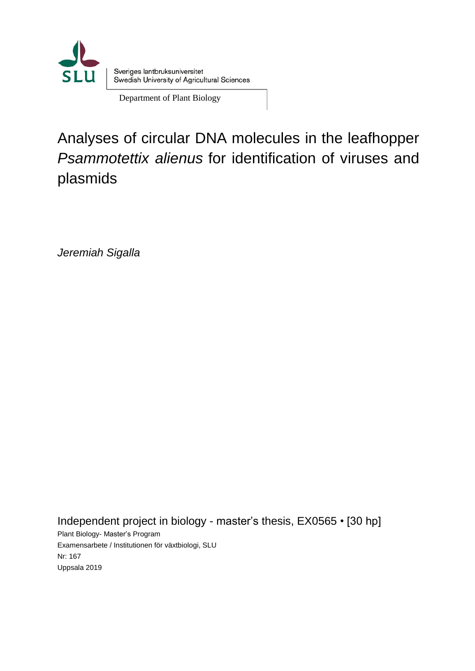

Department of Plant Biology

Analyses of circular DNA molecules in the leafhopper *Psammotettix alienus* for identification of viruses and plasmids

*Jeremiah Sigalla*

Independent project in biology - master's thesis, EX0565 • [30 hp] Plant Biology- Master's Program Examensarbete / Institutionen för växtbiologi, SLU Nr: 167 Uppsala 2019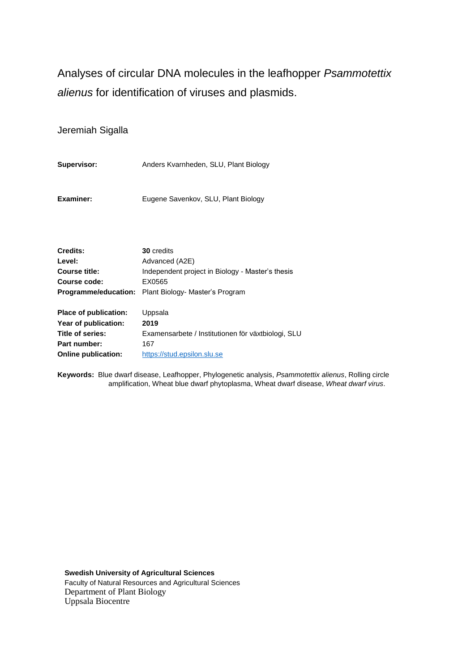Analyses of circular DNA molecules in the leafhopper *Psammotettix alienus* for identification of viruses and plasmids.

Jeremiah Sigalla

| <b>Supervisor:</b> | Anders Kvarnheden, SLU, Plant Biology |  |
|--------------------|---------------------------------------|--|
|                    |                                       |  |

**Examiner:** Eugene Savenkov, SLU, Plant Biology

| Credits:              | <b>30</b> credits                                           |
|-----------------------|-------------------------------------------------------------|
| Level:                | Advanced (A2E)                                              |
| Course title:         | Independent project in Biology - Master's thesis            |
| Course code:          | EX0565                                                      |
|                       | <b>Programme/education:</b> Plant Biology- Master's Program |
|                       |                                                             |
| Place of publication: | Uppsala                                                     |
| Year of publication:  | 2019                                                        |
| Title of series:      | Examensarbete / Institutionen för växtbiologi, SLU          |
| Part number:          | 167                                                         |

**Online publication:** [https://stud.epsilon.slu.se](https://stud.epsilon.slu.se/)

**Keywords:** Blue dwarf disease, Leafhopper, Phylogenetic analysis, *Psammotettix alienus*, Rolling circle amplification, Wheat blue dwarf phytoplasma, Wheat dwarf disease, *Wheat dwarf virus*.

**Swedish University of Agricultural Sciences** Faculty of Natural Resources and Agricultural Sciences Department of Plant Biology Uppsala Biocentre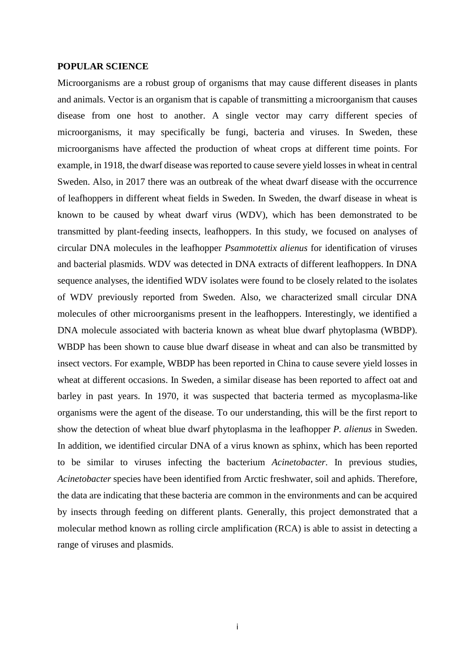#### <span id="page-4-0"></span>**POPULAR SCIENCE**

Microorganisms are a robust group of organisms that may cause different diseases in plants and animals. Vector is an organism that is capable of transmitting a microorganism that causes disease from one host to another. A single vector may carry different species of microorganisms, it may specifically be fungi, bacteria and viruses. In Sweden, these microorganisms have affected the production of wheat crops at different time points. For example, in 1918, the dwarf disease was reported to cause severe yield losses in wheat in central Sweden. Also, in 2017 there was an outbreak of the wheat dwarf disease with the occurrence of leafhoppers in different wheat fields in Sweden. In Sweden, the dwarf disease in wheat is known to be caused by wheat dwarf virus (WDV), which has been demonstrated to be transmitted by plant-feeding insects, leafhoppers. In this study, we focused on analyses of circular DNA molecules in the leafhopper *Psammotettix alienus* for identification of viruses and bacterial plasmids. WDV was detected in DNA extracts of different leafhoppers. In DNA sequence analyses, the identified WDV isolates were found to be closely related to the isolates of WDV previously reported from Sweden. Also, we characterized small circular DNA molecules of other microorganisms present in the leafhoppers. Interestingly, we identified a DNA molecule associated with bacteria known as wheat blue dwarf phytoplasma (WBDP). WBDP has been shown to cause blue dwarf disease in wheat and can also be transmitted by insect vectors. For example, WBDP has been reported in China to cause severe yield losses in wheat at different occasions. In Sweden, a similar disease has been reported to affect oat and barley in past years. In 1970, it was suspected that bacteria termed as mycoplasma-like organisms were the agent of the disease. To our understanding, this will be the first report to show the detection of wheat blue dwarf phytoplasma in the leafhopper *P. alienus* in Sweden. In addition, we identified circular DNA of a virus known as sphinx, which has been reported to be similar to viruses infecting the bacterium *Acinetobacter*. In previous studies, *Acinetobacter* species have been identified from Arctic freshwater, soil and aphids. Therefore, the data are indicating that these bacteria are common in the environments and can be acquired by insects through feeding on different plants. Generally, this project demonstrated that a molecular method known as rolling circle amplification (RCA) is able to assist in detecting a range of viruses and plasmids.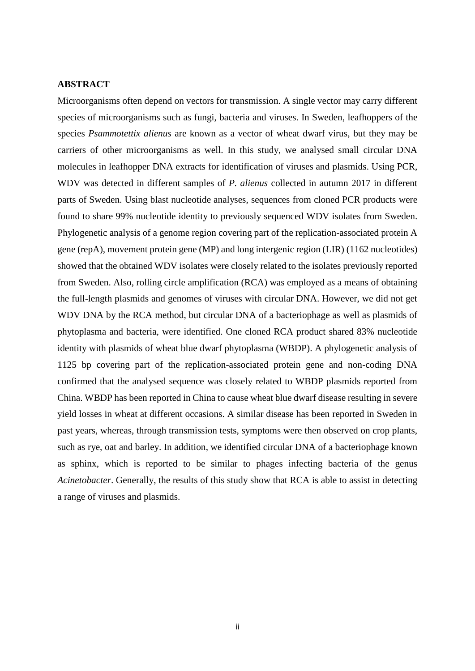### <span id="page-5-0"></span>**ABSTRACT**

Microorganisms often depend on vectors for transmission. A single vector may carry different species of microorganisms such as fungi, bacteria and viruses. In Sweden, leafhoppers of the species *Psammotettix alienus* are known as a vector of wheat dwarf virus, but they may be carriers of other microorganisms as well. In this study, we analysed small circular DNA molecules in leafhopper DNA extracts for identification of viruses and plasmids. Using PCR, WDV was detected in different samples of *P. alienus* collected in autumn 2017 in different parts of Sweden. Using blast nucleotide analyses, sequences from cloned PCR products were found to share 99% nucleotide identity to previously sequenced WDV isolates from Sweden. Phylogenetic analysis of a genome region covering part of the replication-associated protein A gene (repA), movement protein gene (MP) and long intergenic region (LIR) (1162 nucleotides) showed that the obtained WDV isolates were closely related to the isolates previously reported from Sweden. Also, rolling circle amplification (RCA) was employed as a means of obtaining the full-length plasmids and genomes of viruses with circular DNA. However, we did not get WDV DNA by the RCA method, but circular DNA of a bacteriophage as well as plasmids of phytoplasma and bacteria, were identified. One cloned RCA product shared 83% nucleotide identity with plasmids of wheat blue dwarf phytoplasma (WBDP). A phylogenetic analysis of 1125 bp covering part of the replication-associated protein gene and non-coding DNA confirmed that the analysed sequence was closely related to WBDP plasmids reported from China. WBDP has been reported in China to cause wheat blue dwarf disease resulting in severe yield losses in wheat at different occasions. A similar disease has been reported in Sweden in past years, whereas, through transmission tests, symptoms were then observed on crop plants, such as rye, oat and barley. In addition, we identified circular DNA of a bacteriophage known as sphinx, which is reported to be similar to phages infecting bacteria of the genus *Acinetobacter*. Generally, the results of this study show that RCA is able to assist in detecting a range of viruses and plasmids.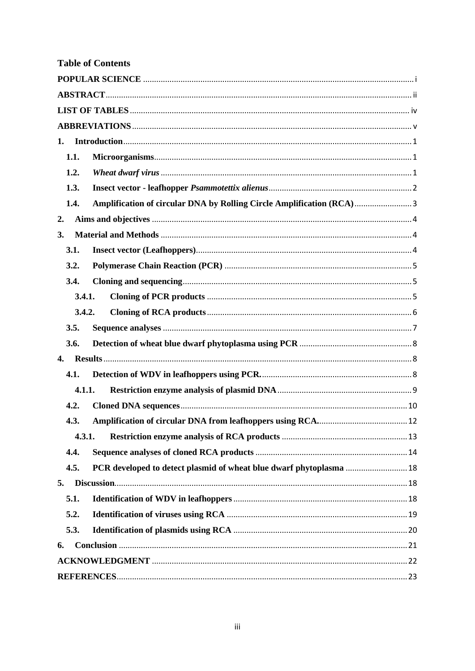| <b>Table of Contents</b> |                                                                      |
|--------------------------|----------------------------------------------------------------------|
|                          |                                                                      |
|                          |                                                                      |
|                          |                                                                      |
|                          |                                                                      |
| 1.                       |                                                                      |
| 1.1.                     |                                                                      |
| 1.2.                     |                                                                      |
| 1.3.                     |                                                                      |
| 1.4.                     | Amplification of circular DNA by Rolling Circle Amplification (RCA)3 |
| 2.                       |                                                                      |
| 3.                       |                                                                      |
| 3.1.                     |                                                                      |
| 3.2.                     |                                                                      |
| 3.4.                     |                                                                      |
| 3.4.1.                   |                                                                      |
| 3.4.2.                   |                                                                      |
| 3.5.                     |                                                                      |
| 3.6.                     |                                                                      |
| 4.                       |                                                                      |
| 4.1.                     |                                                                      |
| 4.1.1.                   |                                                                      |
| 4.2.                     |                                                                      |
| 4.3.                     |                                                                      |
| 4.3.1.                   |                                                                      |
| 4.4.                     |                                                                      |
| 4.5.                     |                                                                      |
| 5.                       |                                                                      |
| 5.1.                     |                                                                      |
| 5.2.                     |                                                                      |
| 5.3.                     |                                                                      |
| 6.                       |                                                                      |
|                          |                                                                      |
|                          |                                                                      |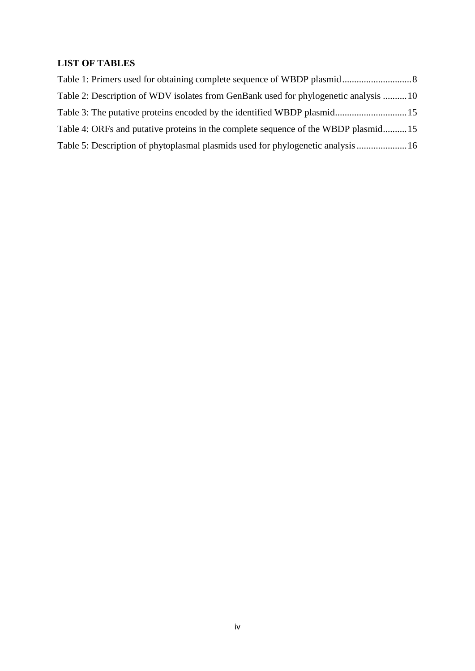# <span id="page-7-0"></span>**LIST OF TABLES**

| Table 2: Description of WDV isolates from GenBank used for phylogenetic analysis 10 |  |
|-------------------------------------------------------------------------------------|--|
|                                                                                     |  |
| Table 4: ORFs and putative proteins in the complete sequence of the WBDP plasmid15  |  |
| Table 5: Description of phytoplasmal plasmids used for phylogenetic analysis  16    |  |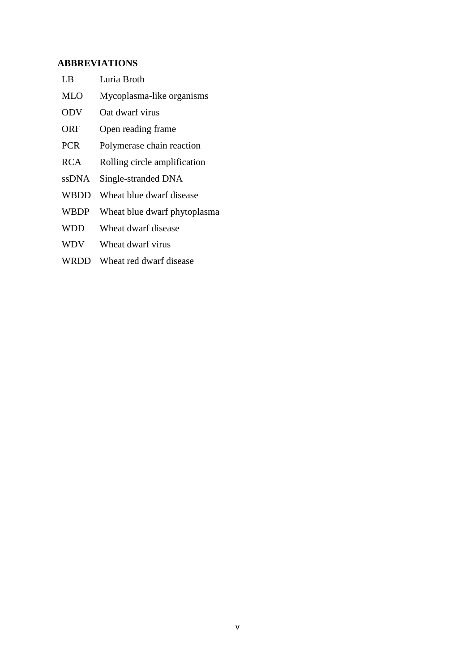## <span id="page-8-0"></span>**ABBREVIATIONS**

- LB Luria Broth MLO Mycoplasma-like organisms ODV Oat dwarf virus ORF Open reading frame PCR Polymerase chain reaction RCA Rolling circle amplification ssDNA Single-stranded DNA
- WBDD Wheat blue dwarf disease
- WBDP Wheat blue dwarf phytoplasma
- WDD Wheat dwarf disease
- WDV Wheat dwarf virus
- WRDD Wheat red dwarf disease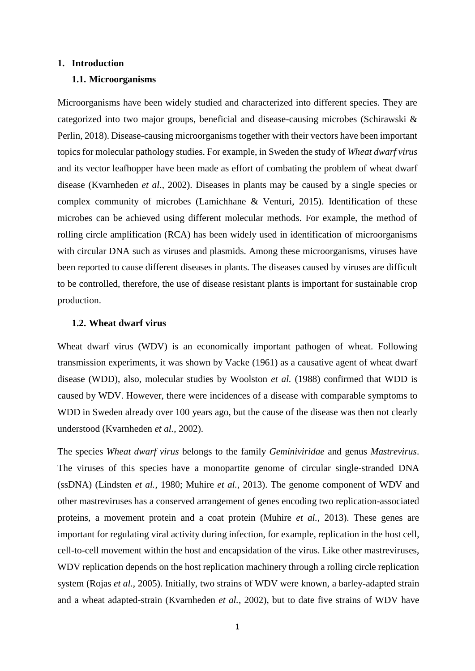#### <span id="page-10-1"></span><span id="page-10-0"></span>**1. Introduction**

#### **1.1. Microorganisms**

Microorganisms have been widely studied and characterized into different species. They are categorized into two major groups, beneficial and disease-causing microbes (Schirawski & Perlin, 2018). Disease-causing microorganisms together with their vectors have been important topics for molecular pathology studies. For example, in Sweden the study of *Wheat dwarf virus* and its vector leafhopper have been made as effort of combating the problem of wheat dwarf disease (Kvarnheden *et al*., 2002). Diseases in plants may be caused by a single species or complex community of microbes (Lamichhane & Venturi, 2015). Identification of these microbes can be achieved using different molecular methods. For example, the method of rolling circle amplification (RCA) has been widely used in identification of microorganisms with circular DNA such as viruses and plasmids. Among these microorganisms, viruses have been reported to cause different diseases in plants. The diseases caused by viruses are difficult to be controlled, therefore, the use of disease resistant plants is important for sustainable crop production.

#### <span id="page-10-2"></span>**1.2. Wheat dwarf virus**

Wheat dwarf virus (WDV) is an economically important pathogen of wheat. Following transmission experiments, it was shown by Vacke (1961) as a causative agent of wheat dwarf disease (WDD), also, molecular studies by Woolston *et al.* (1988) confirmed that WDD is caused by WDV. However, there were incidences of a disease with comparable symptoms to WDD in Sweden already over 100 years ago, but the cause of the disease was then not clearly understood (Kvarnheden *et al.*, 2002).

The species *Wheat dwarf virus* belongs to the family *Geminiviridae* and genus *Mastrevirus*. The viruses of this species have a monopartite genome of circular single-stranded DNA (ssDNA) (Lindsten *et al.*, 1980; Muhire *et al.*, 2013). The genome component of WDV and other mastreviruses has a conserved arrangement of genes encoding two replication-associated proteins, a movement protein and a coat protein (Muhire *et al.*, 2013). These genes are important for regulating viral activity during infection, for example, replication in the host cell, cell-to-cell movement within the host and encapsidation of the virus. Like other mastreviruses, WDV replication depends on the host replication machinery through a rolling circle replication system (Rojas *et al.*, 2005). Initially, two strains of WDV were known, a barley-adapted strain and a wheat adapted-strain (Kvarnheden *et al.*, 2002), but to date five strains of WDV have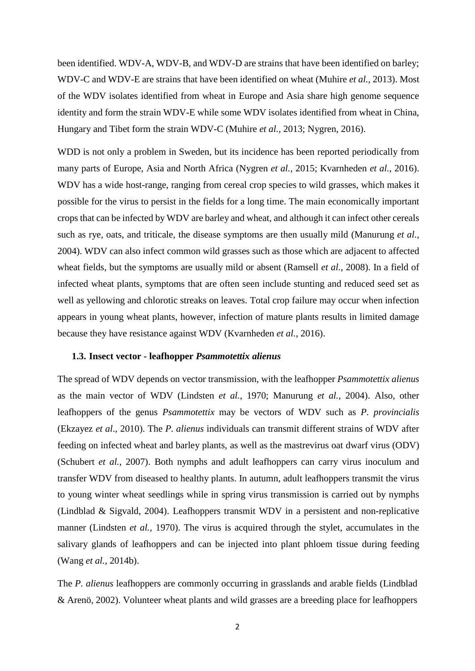been identified. WDV-A, WDV-B, and WDV-D are strains that have been identified on barley; WDV-C and WDV-E are strains that have been identified on wheat (Muhire *et al.,* 2013). Most of the WDV isolates identified from wheat in Europe and Asia share high genome sequence identity and form the strain WDV-E while some WDV isolates identified from wheat in China, Hungary and Tibet form the strain WDV-C (Muhire *et al.*, 2013; Nygren, 2016).

WDD is not only a problem in Sweden, but its incidence has been reported periodically from many parts of Europe, Asia and North Africa (Nygren *et al.*, 2015; Kvarnheden *et al.*, 2016). WDV has a wide host-range, ranging from cereal crop species to wild grasses, which makes it possible for the virus to persist in the fields for a long time. The main economically important crops that can be infected by WDV are barley and wheat, and although it can infect other cereals such as rye, oats, and triticale, the disease symptoms are then usually mild (Manurung *et al.*, 2004). WDV can also infect common wild grasses such as those which are adjacent to affected wheat fields, but the symptoms are usually mild or absent (Ramsell *et al.*, 2008). In a field of infected wheat plants, symptoms that are often seen include stunting and reduced seed set as well as yellowing and chlorotic streaks on leaves. Total crop failure may occur when infection appears in young wheat plants, however, infection of mature plants results in limited damage because they have resistance against WDV (Kvarnheden *et al.*, 2016).

#### <span id="page-11-0"></span>**1.3. Insect vector - leafhopper** *Psammotettix alienus*

The spread of WDV depends on vector transmission, with the leafhopper *Psammotettix alienus* as the main vector of WDV (Lindsten *et al.*, 1970; Manurung *et al.*, 2004). Also, other leafhoppers of the genus *Psammotettix* may be vectors of WDV such as *P. provincialis* (Ekzayez *et al*., 2010). The *P. alienus* individuals can transmit different strains of WDV after feeding on infected wheat and barley plants, as well as the mastrevirus oat dwarf virus (ODV) (Schubert *et al.*, 2007). Both nymphs and adult leafhoppers can carry virus inoculum and transfer WDV from diseased to healthy plants. In autumn, adult leafhoppers transmit the virus to young winter wheat seedlings while in spring virus transmission is carried out by nymphs (Lindblad & Sigvald, 2004). Leafhoppers transmit WDV in a persistent and non-replicative manner (Lindsten *et al.*, 1970). The virus is acquired through the stylet, accumulates in the salivary glands of leafhoppers and can be injected into plant phloem tissue during feeding (Wang *et al.*, 2014b).

The *P. alienus* leafhoppers are commonly occurring in grasslands and arable fields (Lindblad & Arenö, 2002). Volunteer wheat plants and wild grasses are a breeding place for leafhoppers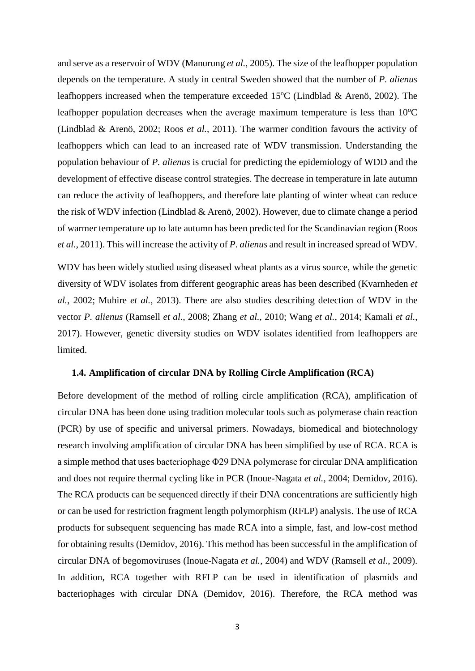and serve as a reservoir of WDV (Manurung *et al.*, 2005). The size of the leafhopper population depends on the temperature. A study in central Sweden showed that the number of *P. alienus* leafhoppers increased when the temperature exceeded  $15^{\circ}$ C (Lindblad & Arenö, 2002). The leafhopper population decreases when the average maximum temperature is less than  $10^{\circ}$ C (Lindblad & Arenö, 2002; Roos *et al.*, 2011). The warmer condition favours the activity of leafhoppers which can lead to an increased rate of WDV transmission. Understanding the population behaviour of *P. alienus* is crucial for predicting the epidemiology of WDD and the development of effective disease control strategies. The decrease in temperature in late autumn can reduce the activity of leafhoppers, and therefore late planting of winter wheat can reduce the risk of WDV infection (Lindblad & Arenö, 2002). However, due to climate change a period of warmer temperature up to late autumn has been predicted for the Scandinavian region (Roos *et al.*, 2011). This will increase the activity of *P. alienus* and result in increased spread of WDV.

WDV has been widely studied using diseased wheat plants as a virus source, while the genetic diversity of WDV isolates from different geographic areas has been described (Kvarnheden *et al.*, 2002; Muhire *et al.*, 2013). There are also studies describing detection of WDV in the vector *P. alienus* (Ramsell *et al.*, 2008; Zhang *et al.*, 2010; Wang *et al.*, 2014; Kamali *et al.*, 2017). However, genetic diversity studies on WDV isolates identified from leafhoppers are limited.

#### <span id="page-12-0"></span>**1.4. Amplification of circular DNA by Rolling Circle Amplification (RCA)**

Before development of the method of rolling circle amplification (RCA), amplification of circular DNA has been done using tradition molecular tools such as polymerase chain reaction (PCR) by use of specific and universal primers. Nowadays, biomedical and biotechnology research involving amplification of circular DNA has been simplified by use of RCA. RCA is a simple method that uses bacteriophage Φ29 DNA polymerase for circular DNA amplification and does not require thermal cycling like in PCR (Inoue-Nagata *et al.*, 2004; Demidov, 2016). The RCA products can be sequenced directly if their DNA concentrations are sufficiently high or can be used for restriction fragment length polymorphism (RFLP) analysis. The use of RCA products for subsequent sequencing has made RCA into a simple, fast, and low-cost method for obtaining results (Demidov, 2016). This method has been successful in the amplification of circular DNA of begomoviruses (Inoue-Nagata *et al.*, 2004) and WDV (Ramsell *et al.*, 2009). In addition, RCA together with RFLP can be used in identification of plasmids and bacteriophages with circular DNA (Demidov, 2016). Therefore, the RCA method was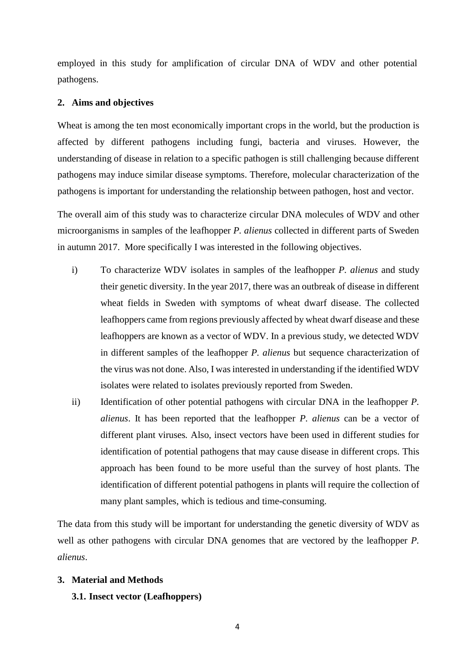employed in this study for amplification of circular DNA of WDV and other potential pathogens.

#### <span id="page-13-0"></span>**2. Aims and objectives**

Wheat is among the ten most economically important crops in the world, but the production is affected by different pathogens including fungi, bacteria and viruses. However, the understanding of disease in relation to a specific pathogen is still challenging because different pathogens may induce similar disease symptoms. Therefore, molecular characterization of the pathogens is important for understanding the relationship between pathogen, host and vector.

The overall aim of this study was to characterize circular DNA molecules of WDV and other microorganisms in samples of the leafhopper *P. alienus* collected in different parts of Sweden in autumn 2017. More specifically I was interested in the following objectives.

- i) To characterize WDV isolates in samples of the leafhopper *P. alienus* and study their genetic diversity. In the year 2017, there was an outbreak of disease in different wheat fields in Sweden with symptoms of wheat dwarf disease. The collected leafhoppers came from regions previously affected by wheat dwarf disease and these leafhoppers are known as a vector of WDV. In a previous study, we detected WDV in different samples of the leafhopper *P. alienus* but sequence characterization of the virus was not done. Also, I wasinterested in understanding if the identified WDV isolates were related to isolates previously reported from Sweden.
- ii) Identification of other potential pathogens with circular DNA in the leafhopper *P. alienus*. It has been reported that the leafhopper *P. alienus* can be a vector of different plant viruses*.* Also, insect vectors have been used in different studies for identification of potential pathogens that may cause disease in different crops. This approach has been found to be more useful than the survey of host plants. The identification of different potential pathogens in plants will require the collection of many plant samples, which is tedious and time-consuming.

The data from this study will be important for understanding the genetic diversity of WDV as well as other pathogens with circular DNA genomes that are vectored by the leafhopper *P. alienus*.

## <span id="page-13-2"></span><span id="page-13-1"></span>**3. Material and Methods**

## **3.1. Insect vector (Leafhoppers)**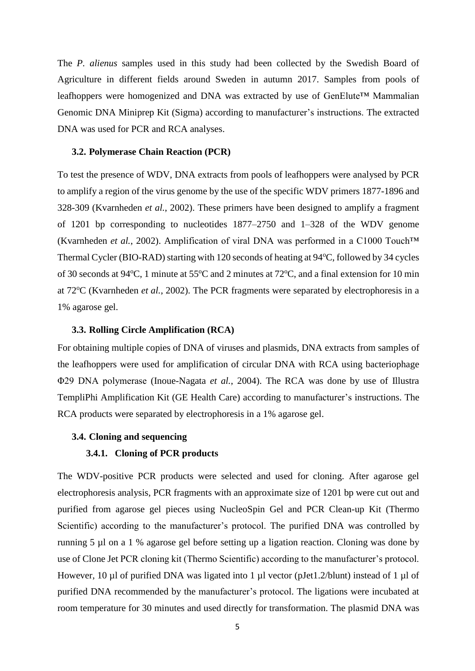The *P. alienus* samples used in this study had been collected by the Swedish Board of Agriculture in different fields around Sweden in autumn 2017. Samples from pools of leafhoppers were homogenized and DNA was extracted by use of GenElute™ Mammalian Genomic DNA Miniprep Kit (Sigma) according to manufacturer's instructions. The extracted DNA was used for PCR and RCA analyses.

#### <span id="page-14-0"></span>**3.2. Polymerase Chain Reaction (PCR)**

To test the presence of WDV, DNA extracts from pools of leafhoppers were analysed by PCR to amplify a region of the virus genome by the use of the specific WDV primers 1877-1896 and 328-309 (Kvarnheden *et al.*, 2002). These primers have been designed to amplify a fragment of 1201 bp corresponding to nucleotides 1877–2750 and 1–328 of the WDV genome (Kvarnheden *et al.*, 2002). Amplification of viral DNA was performed in a C1000 Touch™ Thermal Cycler (BIO-RAD) starting with 120 seconds of heating at  $94^{\circ}$ C, followed by 34 cycles of 30 seconds at 94 $^{\circ}$ C, 1 minute at 55 $^{\circ}$ C and 2 minutes at 72 $^{\circ}$ C, and a final extension for 10 min at 72<sup>o</sup>C (Kvarnheden *et al.*, 2002). The PCR fragments were separated by electrophoresis in a 1% agarose gel.

#### **3.3. Rolling Circle Amplification (RCA)**

For obtaining multiple copies of DNA of viruses and plasmids, DNA extracts from samples of the leafhoppers were used for amplification of circular DNA with RCA using bacteriophage Φ29 DNA polymerase (Inoue-Nagata *et al.*, 2004). The RCA was done by use of Illustra TempliPhi Amplification Kit (GE Health Care) according to manufacturer's instructions. The RCA products were separated by electrophoresis in a 1% agarose gel.

#### <span id="page-14-2"></span><span id="page-14-1"></span>**3.4. Cloning and sequencing**

## **3.4.1. Cloning of PCR products**

The WDV-positive PCR products were selected and used for cloning. After agarose gel electrophoresis analysis, PCR fragments with an approximate size of 1201 bp were cut out and purified from agarose gel pieces using NucleoSpin Gel and PCR Clean-up Kit (Thermo Scientific) according to the manufacturer's protocol. The purified DNA was controlled by running 5 µl on a 1 % agarose gel before setting up a ligation reaction. Cloning was done by use of Clone Jet PCR cloning kit (Thermo Scientific) according to the manufacturer's protocol. However, 10 µl of purified DNA was ligated into 1 µl vector (pJet1.2/blunt) instead of 1 µl of purified DNA recommended by the manufacturer's protocol. The ligations were incubated at room temperature for 30 minutes and used directly for transformation. The plasmid DNA was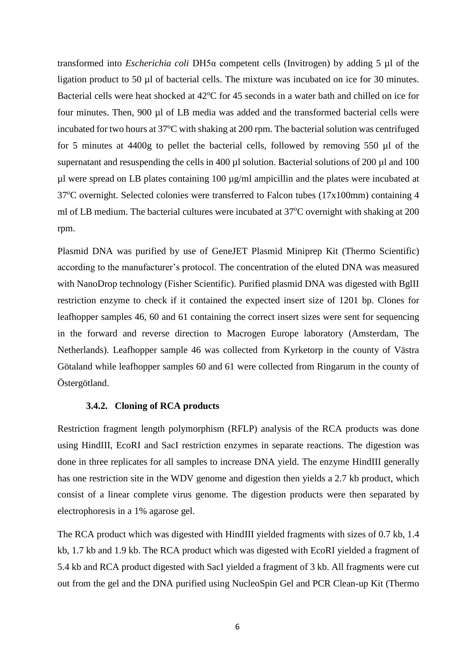transformed into *Escherichia coli* DH5α competent cells (Invitrogen) by adding 5 µl of the ligation product to 50 µl of bacterial cells. The mixture was incubated on ice for 30 minutes. Bacterial cells were heat shocked at 42°C for 45 seconds in a water bath and chilled on ice for four minutes. Then, 900 µl of LB media was added and the transformed bacterial cells were incubated for two hours at  $37^{\circ}$ C with shaking at 200 rpm. The bacterial solution was centrifuged for 5 minutes at 4400g to pellet the bacterial cells, followed by removing 550 µl of the supernatant and resuspending the cells in 400  $\mu$ l solution. Bacterial solutions of 200  $\mu$ l and 100  $\mu$ l were spread on LB plates containing 100  $\mu$ g/ml ampicillin and the plates were incubated at 37°C overnight. Selected colonies were transferred to Falcon tubes (17x100mm) containing 4 ml of LB medium. The bacterial cultures were incubated at  $37^{\circ}$ C overnight with shaking at 200 rpm.

Plasmid DNA was purified by use of GeneJET Plasmid Miniprep Kit (Thermo Scientific) according to the manufacturer's protocol. The concentration of the eluted DNA was measured with NanoDrop technology (Fisher Scientific). Purified plasmid DNA was digested with BglII restriction enzyme to check if it contained the expected insert size of 1201 bp. Clones for leafhopper samples 46, 60 and 61 containing the correct insert sizes were sent for sequencing in the forward and reverse direction to Macrogen Europe laboratory (Amsterdam, The Netherlands). Leafhopper sample 46 was collected from Kyrketorp in the county of Västra Götaland while leafhopper samples 60 and 61 were collected from Ringarum in the county of Östergötland.

## **3.4.2. Cloning of RCA products**

<span id="page-15-0"></span>Restriction fragment length polymorphism (RFLP) analysis of the RCA products was done using HindIII, EcoRI and SacI restriction enzymes in separate reactions. The digestion was done in three replicates for all samples to increase DNA yield. The enzyme HindIII generally has one restriction site in the WDV genome and digestion then yields a 2.7 kb product, which consist of a linear complete virus genome. The digestion products were then separated by electrophoresis in a 1% agarose gel.

The RCA product which was digested with HindIII yielded fragments with sizes of 0.7 kb, 1.4 kb, 1.7 kb and 1.9 kb. The RCA product which was digested with EcoRI yielded a fragment of 5.4 kb and RCA product digested with SacI yielded a fragment of 3 kb. All fragments were cut out from the gel and the DNA purified using NucleoSpin Gel and PCR Clean-up Kit (Thermo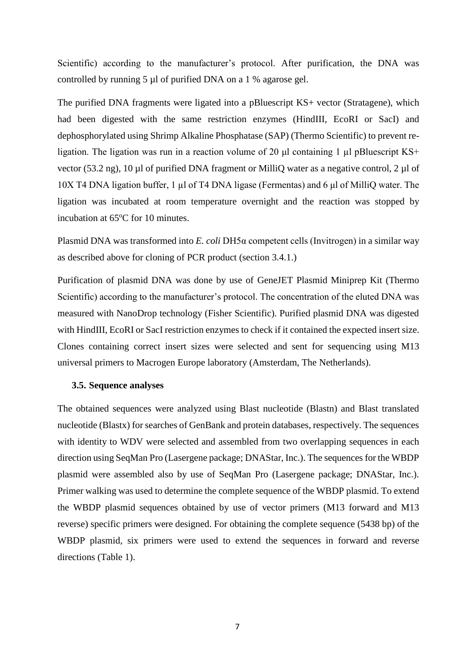Scientific) according to the manufacturer's protocol. After purification, the DNA was controlled by running 5 µl of purified DNA on a 1 % agarose gel.

The purified DNA fragments were ligated into a pBluescript KS+ vector (Stratagene), which had been digested with the same restriction enzymes (HindIII, EcoRI or SacI) and dephosphorylated using Shrimp Alkaline Phosphatase (SAP) (Thermo Scientific) to prevent religation. The ligation was run in a reaction volume of 20 μl containing 1 µl pBluescript KS+ vector (53.2 ng), 10 µl of purified DNA fragment or MilliQ water as a negative control, 2 µl of 10X T4 DNA ligation buffer, 1 µl of T4 DNA ligase (Fermentas) and 6 μl of MilliQ water. The ligation was incubated at room temperature overnight and the reaction was stopped by incubation at 65°C for 10 minutes.

Plasmid DNA was transformed into *E. coli* DH5α competent cells (Invitrogen) in a similar way as described above for cloning of PCR product (section 3.4.1.)

Purification of plasmid DNA was done by use of GeneJET Plasmid Miniprep Kit (Thermo Scientific) according to the manufacturer's protocol. The concentration of the eluted DNA was measured with NanoDrop technology (Fisher Scientific). Purified plasmid DNA was digested with HindIII, EcoRI or SacI restriction enzymes to check if it contained the expected insert size. Clones containing correct insert sizes were selected and sent for sequencing using M13 universal primers to Macrogen Europe laboratory (Amsterdam, The Netherlands).

#### <span id="page-16-0"></span>**3.5. Sequence analyses**

The obtained sequences were analyzed using Blast nucleotide (Blastn) and Blast translated nucleotide (Blastx) for searches of GenBank and protein databases, respectively. The sequences with identity to WDV were selected and assembled from two overlapping sequences in each direction using SeqMan Pro (Lasergene package; DNAStar, Inc.). The sequences for the WBDP plasmid were assembled also by use of SeqMan Pro (Lasergene package; DNAStar, Inc.). Primer walking was used to determine the complete sequence of the WBDP plasmid. To extend the WBDP plasmid sequences obtained by use of vector primers (M13 forward and M13 reverse) specific primers were designed. For obtaining the complete sequence (5438 bp) of the WBDP plasmid, six primers were used to extend the sequences in forward and reverse directions (Table 1).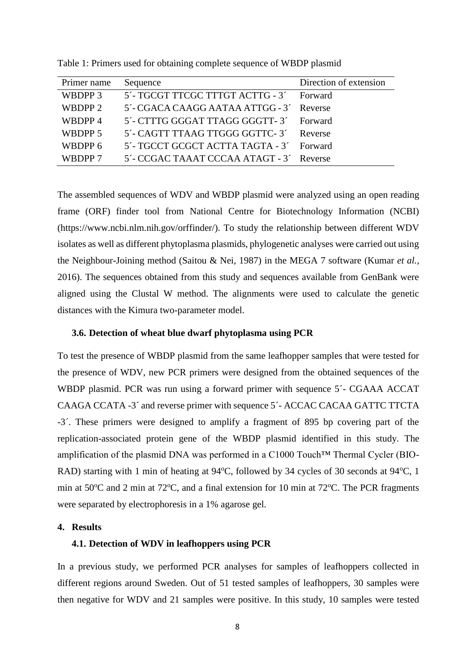| Primer name | Sequence                                 | Direction of extension |
|-------------|------------------------------------------|------------------------|
| WBDPP 3     | 5'- TGCGT TTCGC TTTGT ACTTG - 3' Forward |                        |
| WBDPP 2     | 5'- CGACA CAAGG AATAA ATTGG - 3' Reverse |                        |
| WBDPP 4     | 5'- CTTTG GGGAT TTAGG GGGTT-3'           | <b>Forward</b>         |
| WBDPP 5     | 5'- CAGTT TTAAG TTGGG GGTTC-3' Reverse   |                        |
| WBDPP 6     | 5'- TGCCT GCGCT ACTTA TAGTA - 3'         | Forward                |
| WBDPP 7     | 5'- CCGAC TAAAT CCCAA ATAGT - 3' Reverse |                        |

<span id="page-17-3"></span>Table 1: Primers used for obtaining complete sequence of WBDP plasmid

The assembled sequences of WDV and WBDP plasmid were analyzed using an open reading frame (ORF) finder tool from National Centre for Biotechnology Information (NCBI) (https://www.ncbi.nlm.nih.gov/orffinder/). To study the relationship between different WDV isolates as well as different phytoplasma plasmids, phylogenetic analyses were carried out using the Neighbour-Joining method (Saitou & Nei, 1987) in the MEGA 7 software (Kumar *et al.*, 2016). The sequences obtained from this study and sequences available from GenBank were aligned using the Clustal W method. The alignments were used to calculate the genetic distances with the Kimura two-parameter model.

#### <span id="page-17-0"></span>**3.6. Detection of wheat blue dwarf phytoplasma using PCR**

To test the presence of WBDP plasmid from the same leafhopper samples that were tested for the presence of WDV, new PCR primers were designed from the obtained sequences of the WBDP plasmid. PCR was run using a forward primer with sequence 5´- CGAAA ACCAT CAAGA CCATA -3´ and reverse primer with sequence 5´- ACCAC CACAA GATTC TTCTA -3´. These primers were designed to amplify a fragment of 895 bp covering part of the replication-associated protein gene of the WBDP plasmid identified in this study. The amplification of the plasmid DNA was performed in a C1000 Touch™ Thermal Cycler (BIO-RAD) starting with 1 min of heating at  $94^{\circ}$ C, followed by 34 cycles of 30 seconds at  $94^{\circ}$ C, 1 min at  $50^{\circ}$ C and 2 min at  $72^{\circ}$ C, and a final extension for 10 min at  $72^{\circ}$ C. The PCR fragments were separated by electrophoresis in a 1% agarose gel.

## <span id="page-17-2"></span><span id="page-17-1"></span>**4. Results**

## **4.1. Detection of WDV in leafhoppers using PCR**

In a previous study, we performed PCR analyses for samples of leafhoppers collected in different regions around Sweden. Out of 51 tested samples of leafhoppers, 30 samples were then negative for WDV and 21 samples were positive. In this study, 10 samples were tested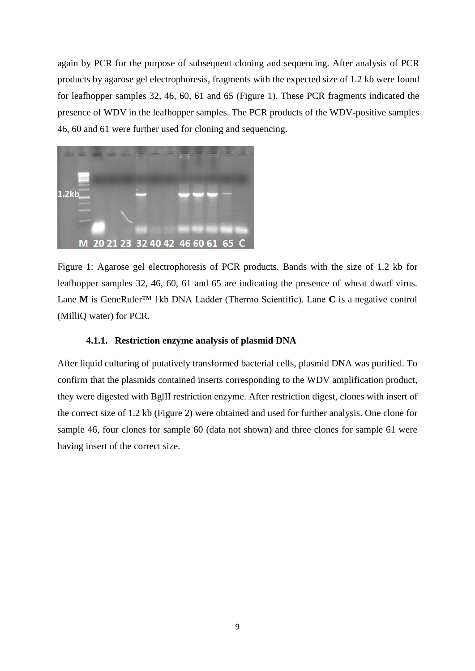again by PCR for the purpose of subsequent cloning and sequencing. After analysis of PCR products by agarose gel electrophoresis, fragments with the expected size of 1.2 kb were found for leafhopper samples 32, 46, 60, 61 and 65 (Figure 1). These PCR fragments indicated the presence of WDV in the leafhopper samples. The PCR products of the WDV-positive samples 46, 60 and 61 were further used for cloning and sequencing.



Figure 1: Agarose gel electrophoresis of PCR products. Bands with the size of 1.2 kb for leafhopper samples 32, 46, 60, 61 and 65 are indicating the presence of wheat dwarf virus. Lane **M** is GeneRuler™ 1kb DNA Ladder (Thermo Scientific). Lane **C** is a negative control (MilliQ water) for PCR.

## **4.1.1. Restriction enzyme analysis of plasmid DNA**

<span id="page-18-0"></span>After liquid culturing of putatively transformed bacterial cells, plasmid DNA was purified. To confirm that the plasmids contained inserts corresponding to the WDV amplification product, they were digested with BglII restriction enzyme. After restriction digest, clones with insert of the correct size of 1.2 kb (Figure 2) were obtained and used for further analysis. One clone for sample 46, four clones for sample 60 (data not shown) and three clones for sample 61 were having insert of the correct size.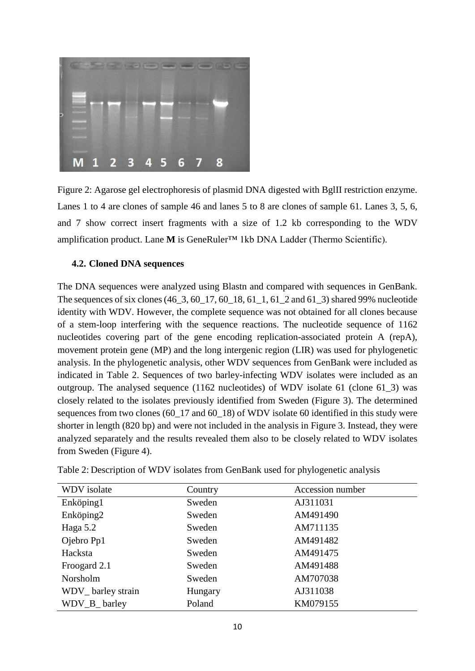

Figure 2: Agarose gel electrophoresis of plasmid DNA digested with BglII restriction enzyme. Lanes 1 to 4 are clones of sample 46 and lanes 5 to 8 are clones of sample 61. Lanes 3, 5, 6, and 7 show correct insert fragments with a size of 1.2 kb corresponding to the WDV amplification product. Lane **M** is GeneRuler™ 1kb DNA Ladder (Thermo Scientific).

## <span id="page-19-0"></span>**4.2. Cloned DNA sequences**

The DNA sequences were analyzed using Blastn and compared with sequences in GenBank. The sequences of six clones (46\_3, 60\_17, 60\_18, 61\_1, 61\_2 and 61\_3) shared 99% nucleotide identity with WDV. However, the complete sequence was not obtained for all clones because of a stem-loop interfering with the sequence reactions. The nucleotide sequence of 1162 nucleotides covering part of the gene encoding replication-associated protein A (repA), movement protein gene (MP) and the long intergenic region (LIR) was used for phylogenetic analysis. In the phylogenetic analysis, other WDV sequences from GenBank were included as indicated in Table 2. Sequences of two barley-infecting WDV isolates were included as an outgroup. The analysed sequence (1162 nucleotides) of WDV isolate 61 (clone 61\_3) was closely related to the isolates previously identified from Sweden (Figure 3). The determined sequences from two clones (60–17 and 60–18) of WDV isolate 60 identified in this study were shorter in length (820 bp) and were not included in the analysis in Figure 3. Instead, they were analyzed separately and the results revealed them also to be closely related to WDV isolates from Sweden (Figure 4).

| WDV isolate       | Country | Accession number |
|-------------------|---------|------------------|
| Enköping1         | Sweden  | AJ311031         |
| Enköping2         | Sweden  | AM491490         |
| Haga $5.2$        | Sweden  | AM711135         |
| Ojebro Pp1        | Sweden  | AM491482         |
| Hacksta           | Sweden  | AM491475         |
| Froogard 2.1      | Sweden  | AM491488         |
| Norsholm          | Sweden  | AM707038         |
| WDV_barley strain | Hungary | AJ311038         |
| WDV_B_barley      | Poland  | KM079155         |

<span id="page-19-1"></span>Table 2: Description of WDV isolates from GenBank used for phylogenetic analysis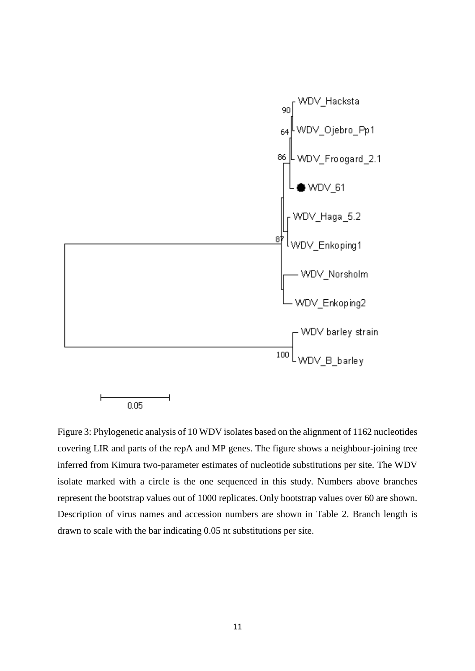

Figure 3: Phylogenetic analysis of 10 WDV isolates based on the alignment of 1162 nucleotides covering LIR and parts of the repA and MP genes. The figure shows a neighbour-joining tree inferred from Kimura two-parameter estimates of nucleotide substitutions per site. The WDV isolate marked with a circle is the one sequenced in this study. Numbers above branches represent the bootstrap values out of 1000 replicates. Only bootstrap values over 60 are shown. Description of virus names and accession numbers are shown in Table 2. Branch length is drawn to scale with the bar indicating 0.05 nt substitutions per site.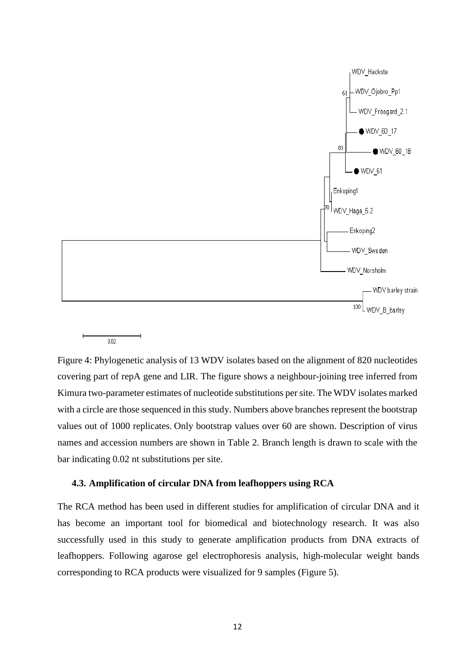

 $0.02$ 

Figure 4: Phylogenetic analysis of 13 WDV isolates based on the alignment of 820 nucleotides covering part of repA gene and LIR. The figure shows a neighbour-joining tree inferred from Kimura two-parameter estimates of nucleotide substitutions per site. The WDV isolates marked with a circle are those sequenced in this study. Numbers above branches represent the bootstrap values out of 1000 replicates. Only bootstrap values over 60 are shown. Description of virus names and accession numbers are shown in Table 2. Branch length is drawn to scale with the bar indicating 0.02 nt substitutions per site.

## <span id="page-21-0"></span>**4.3. Amplification of circular DNA from leafhoppers using RCA**

The RCA method has been used in different studies for amplification of circular DNA and it has become an important tool for biomedical and biotechnology research. It was also successfully used in this study to generate amplification products from DNA extracts of leafhoppers. Following agarose gel electrophoresis analysis, high-molecular weight bands corresponding to RCA products were visualized for 9 samples (Figure 5).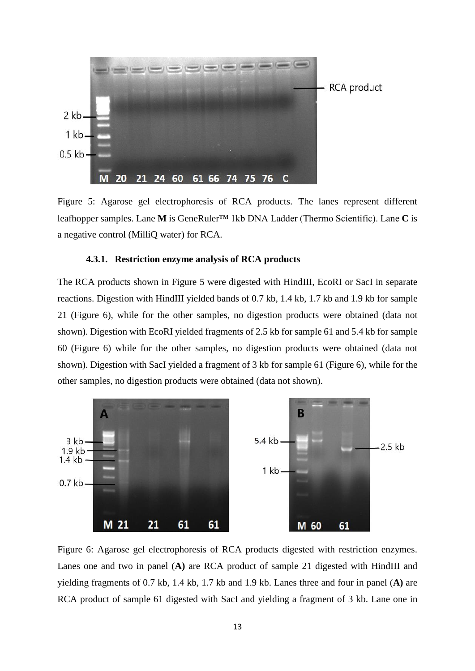

Figure 5: Agarose gel electrophoresis of RCA products. The lanes represent different leafhopper samples. Lane **M** is GeneRuler™ 1kb DNA Ladder (Thermo Scientific). Lane **C** is a negative control (MilliQ water) for RCA.

### **4.3.1. Restriction enzyme analysis of RCA products**

<span id="page-22-0"></span>The RCA products shown in Figure 5 were digested with HindIII, EcoRI or SacI in separate reactions. Digestion with HindIII yielded bands of 0.7 kb, 1.4 kb, 1.7 kb and 1.9 kb for sample 21 (Figure 6), while for the other samples, no digestion products were obtained (data not shown). Digestion with EcoRI yielded fragments of 2.5 kb for sample 61 and 5.4 kb for sample 60 (Figure 6) while for the other samples, no digestion products were obtained (data not shown). Digestion with SacI yielded a fragment of 3 kb for sample 61 (Figure 6), while for the other samples, no digestion products were obtained (data not shown).



Figure 6: Agarose gel electrophoresis of RCA products digested with restriction enzymes. Lanes one and two in panel (**A)** are RCA product of sample 21 digested with HindIII and yielding fragments of 0.7 kb, 1.4 kb, 1.7 kb and 1.9 kb. Lanes three and four in panel (**A)** are RCA product of sample 61 digested with SacI and yielding a fragment of 3 kb. Lane one in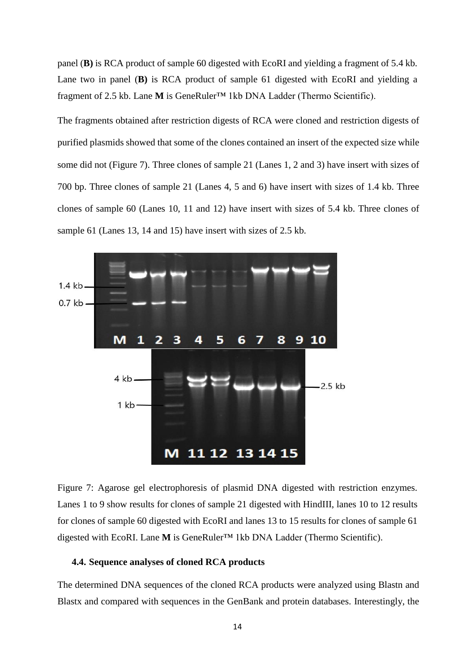panel (**B)** is RCA product of sample 60 digested with EcoRI and yielding a fragment of 5.4 kb. Lane two in panel (**B)** is RCA product of sample 61 digested with EcoRI and yielding a fragment of 2.5 kb. Lane **M** is GeneRuler™ 1kb DNA Ladder (Thermo Scientific).

The fragments obtained after restriction digests of RCA were cloned and restriction digests of purified plasmids showed that some of the clones contained an insert of the expected size while some did not (Figure 7). Three clones of sample 21 (Lanes 1, 2 and 3) have insert with sizes of 700 bp. Three clones of sample 21 (Lanes 4, 5 and 6) have insert with sizes of 1.4 kb. Three clones of sample 60 (Lanes 10, 11 and 12) have insert with sizes of 5.4 kb. Three clones of sample 61 (Lanes 13, 14 and 15) have insert with sizes of 2.5 kb.



Figure 7: Agarose gel electrophoresis of plasmid DNA digested with restriction enzymes. Lanes 1 to 9 show results for clones of sample 21 digested with HindIII, lanes 10 to 12 results for clones of sample 60 digested with EcoRI and lanes 13 to 15 results for clones of sample 61 digested with EcoRI. Lane **M** is GeneRuler™ 1kb DNA Ladder (Thermo Scientific).

## <span id="page-23-0"></span>**4.4. Sequence analyses of cloned RCA products**

The determined DNA sequences of the cloned RCA products were analyzed using Blastn and Blastx and compared with sequences in the GenBank and protein databases. Interestingly, the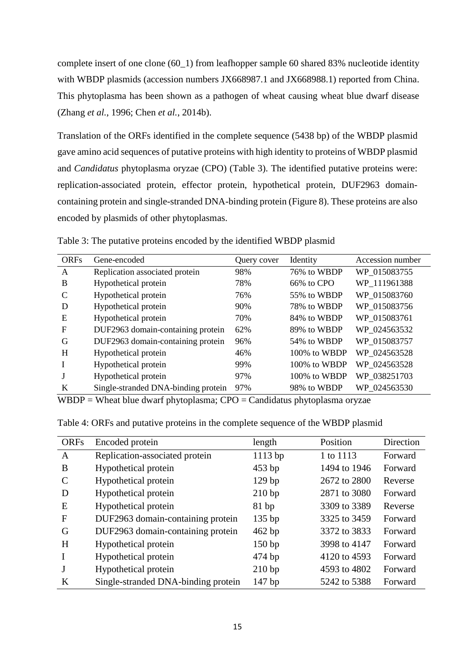complete insert of one clone (60\_1) from leafhopper sample 60 shared 83% nucleotide identity with WBDP plasmids (accession numbers JX668987.1 and JX668988.1) reported from China. This phytoplasma has been shown as a pathogen of wheat causing wheat blue dwarf disease (Zhang *et al.*, 1996; Chen *et al.*, 2014b).

Translation of the ORFs identified in the complete sequence (5438 bp) of the WBDP plasmid gave amino acid sequences of putative proteins with high identity to proteins of WBDP plasmid and *Candidatus* phytoplasma oryzae (CPO) (Table 3). The identified putative proteins were: replication-associated protein, effector protein, hypothetical protein, DUF2963 domaincontaining protein and single-stranded DNA-binding protein (Figure 8). These proteins are also encoded by plasmids of other phytoplasmas.

| <b>ORFs</b>  | Gene-encoded                        | Query cover | Identity     | Accession number |
|--------------|-------------------------------------|-------------|--------------|------------------|
| $\mathsf{A}$ | Replication associated protein      | 98%         | 76% to WBDP  | WP 015083755     |
| B            | Hypothetical protein                | 78%         | 66% to CPO   | WP 111961388     |
| C            | Hypothetical protein                | 76%         | 55% to WBDP  | WP 015083760     |
| D            | Hypothetical protein                | 90%         | 78% to WBDP  | WP_015083756     |
| E            | Hypothetical protein                | 70%         | 84% to WBDP  | WP_015083761     |
| F            | DUF2963 domain-containing protein   | 62%         | 89% to WBDP  | WP 024563532     |
| G            | DUF2963 domain-containing protein   | 96%         | 54% to WBDP  | WP 015083757     |
| H            | Hypothetical protein                | 46%         | 100% to WBDP | WP 024563528     |
| L            | Hypothetical protein                | 99%         | 100% to WBDP | WP 024563528     |
|              | Hypothetical protein                | 97%         | 100% to WBDP | WP 038251703     |
| K            | Single-stranded DNA-binding protein | 97%         | 98% to WBDP  | WP 024563530     |

<span id="page-24-0"></span>Table 3: The putative proteins encoded by the identified WBDP plasmid

 $WBDP = Wheat blue dwarf phytoplasma; CPO = Candidatus phytoplasma oryzae$ 

| <b>ORFs</b> | Encoded protein                     | length            | Position     | Direction |
|-------------|-------------------------------------|-------------------|--------------|-----------|
| A           | Replication-associated protein      | 1113 bp           | 1 to 1113    | Forward   |
| B           | Hypothetical protein                | $453$ bp          | 1494 to 1946 | Forward   |
| C           | Hypothetical protein                | 129 <sub>bp</sub> | 2672 to 2800 | Reverse   |
| D           | Hypothetical protein                | 210 bp            | 2871 to 3080 | Forward   |
| E           | Hypothetical protein                | 81bp              | 3309 to 3389 | Reverse   |
| F           | DUF2963 domain-containing protein   | 135bp             | 3325 to 3459 | Forward   |
| G           | DUF2963 domain-containing protein   | 462 bp            | 3372 to 3833 | Forward   |
| H           | Hypothetical protein                | 150bp             | 3998 to 4147 | Forward   |
| I           | Hypothetical protein                | 474 bp            | 4120 to 4593 | Forward   |
| J           | Hypothetical protein                | 210 bp            | 4593 to 4802 | Forward   |
| K           | Single-stranded DNA-binding protein | 147 bp            | 5242 to 5388 | Forward   |

<span id="page-24-1"></span>Table 4: ORFs and putative proteins in the complete sequence of the WBDP plasmid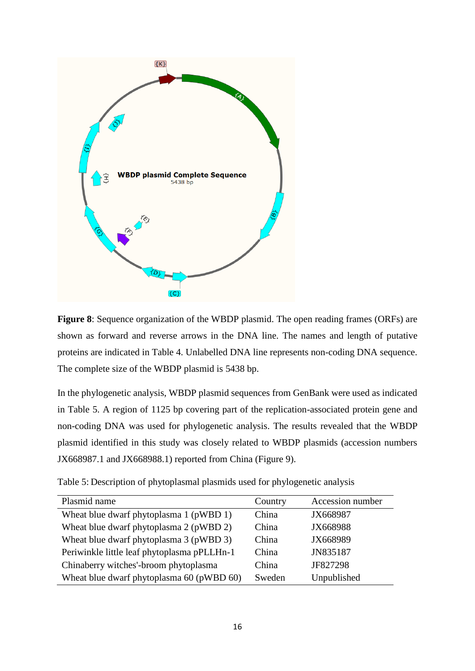

**Figure 8**: Sequence organization of the WBDP plasmid. The open reading frames (ORFs) are shown as forward and reverse arrows in the DNA line. The names and length of putative proteins are indicated in Table 4. Unlabelled DNA line represents non-coding DNA sequence. The complete size of the WBDP plasmid is 5438 bp.

In the phylogenetic analysis, WBDP plasmid sequences from GenBank were used as indicated in Table 5. A region of 1125 bp covering part of the replication-associated protein gene and non-coding DNA was used for phylogenetic analysis. The results revealed that the WBDP plasmid identified in this study was closely related to WBDP plasmids (accession numbers JX668987.1 and JX668988.1) reported from China (Figure 9).

<span id="page-25-0"></span>Table 5: Description of phytoplasmal plasmids used for phylogenetic analysis

| Plasmid name                                | Country | Accession number |
|---------------------------------------------|---------|------------------|
| Wheat blue dwarf phytoplasma 1 (pWBD 1)     | China   | JX668987         |
| Wheat blue dwarf phytoplasma 2 (pWBD 2)     | China   | JX668988         |
| Wheat blue dwarf phytoplasma 3 (pWBD 3)     | China   | JX668989         |
| Periwinkle little leaf phytoplasma pPLLHn-1 | China   | JN835187         |
| Chinaberry witches'-broom phytoplasma       | China   | JF827298         |
| Wheat blue dwarf phytoplasma 60 (pWBD 60)   | Sweden  | Unpublished      |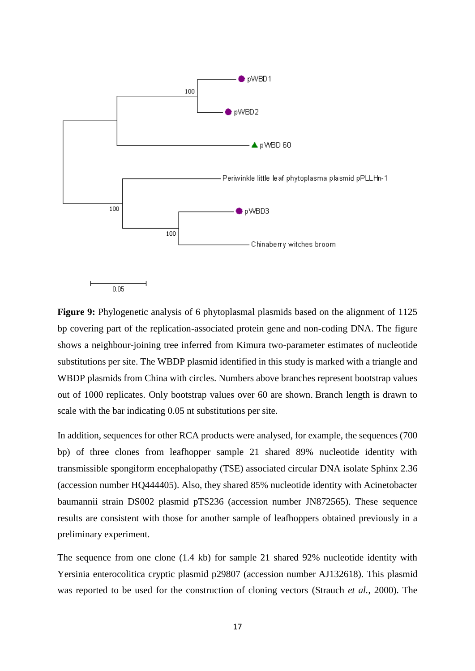

**Figure 9:** Phylogenetic analysis of 6 phytoplasmal plasmids based on the alignment of 1125 bp covering part of the replication-associated protein gene and non-coding DNA. The figure shows a neighbour-joining tree inferred from Kimura two-parameter estimates of nucleotide substitutions per site. The WBDP plasmid identified in this study is marked with a triangle and WBDP plasmids from China with circles. Numbers above branches represent bootstrap values out of 1000 replicates. Only bootstrap values over 60 are shown. Branch length is drawn to scale with the bar indicating 0.05 nt substitutions per site.

In addition, sequences for other RCA products were analysed, for example, the sequences (700 bp) of three clones from leafhopper sample 21 shared 89% nucleotide identity with transmissible spongiform encephalopathy (TSE) associated circular DNA isolate Sphinx 2.36 (accession number HQ444405). Also, they shared 85% nucleotide identity with Acinetobacter baumannii strain DS002 plasmid pTS236 (accession number JN872565). These sequence results are consistent with those for another sample of leafhoppers obtained previously in a preliminary experiment.

The sequence from one clone (1.4 kb) for sample 21 shared 92% nucleotide identity with Yersinia enterocolitica cryptic plasmid p29807 (accession number AJ132618). This plasmid was reported to be used for the construction of cloning vectors (Strauch *et al.*, 2000). The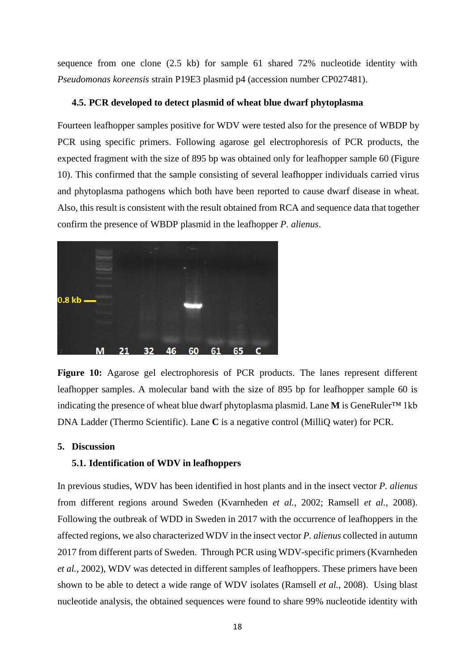sequence from one clone (2.5 kb) for sample 61 shared 72% nucleotide identity with *Pseudomonas koreensis* strain P19E3 plasmid p4 (accession number CP027481).

#### <span id="page-27-0"></span>**4.5. PCR developed to detect plasmid of wheat blue dwarf phytoplasma**

Fourteen leafhopper samples positive for WDV were tested also for the presence of WBDP by PCR using specific primers. Following agarose gel electrophoresis of PCR products, the expected fragment with the size of 895 bp was obtained only for leafhopper sample 60 (Figure 10). This confirmed that the sample consisting of several leafhopper individuals carried virus and phytoplasma pathogens which both have been reported to cause dwarf disease in wheat. Also, this result is consistent with the result obtained from RCA and sequence data that together confirm the presence of WBDP plasmid in the leafhopper *P. alienus*.



**Figure 10:** Agarose gel electrophoresis of PCR products. The lanes represent different leafhopper samples. A molecular band with the size of 895 bp for leafhopper sample 60 is indicating the presence of wheat blue dwarf phytoplasma plasmid. Lane **M** is GeneRuler™ 1kb DNA Ladder (Thermo Scientific). Lane **C** is a negative control (MilliQ water) for PCR.

#### <span id="page-27-2"></span><span id="page-27-1"></span>**5. Discussion**

#### **5.1. Identification of WDV in leafhoppers**

In previous studies, WDV has been identified in host plants and in the insect vector *P. alienus* from different regions around Sweden (Kvarnheden *et al.*, 2002; Ramsell *et al.*, 2008). Following the outbreak of WDD in Sweden in 2017 with the occurrence of leafhoppers in the affected regions, we also characterized WDV in the insect vector *P. alienus* collected in autumn 2017 from different parts of Sweden. Through PCR using WDV-specific primers (Kvarnheden *et al.*, 2002), WDV was detected in different samples of leafhoppers. These primers have been shown to be able to detect a wide range of WDV isolates (Ramsell *et al.*, 2008). Using blast nucleotide analysis, the obtained sequences were found to share 99% nucleotide identity with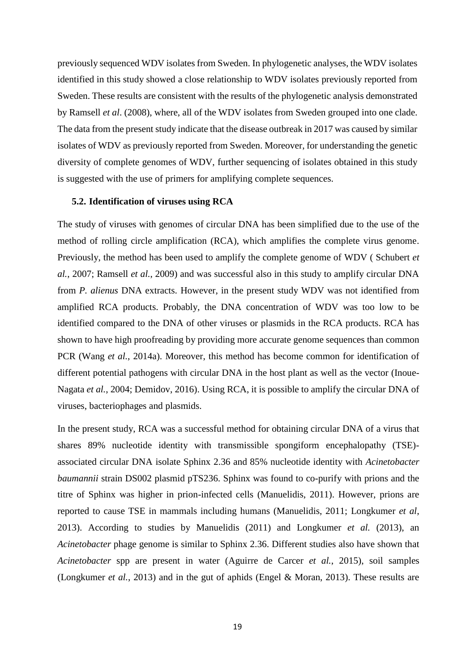previously sequenced WDV isolates from Sweden. In phylogenetic analyses, the WDV isolates identified in this study showed a close relationship to WDV isolates previously reported from Sweden. These results are consistent with the results of the phylogenetic analysis demonstrated by Ramsell *et al*. (2008), where, all of the WDV isolates from Sweden grouped into one clade. The data from the present study indicate that the disease outbreak in 2017 was caused by similar isolates of WDV as previously reported from Sweden. Moreover, for understanding the genetic diversity of complete genomes of WDV, further sequencing of isolates obtained in this study is suggested with the use of primers for amplifying complete sequences.

#### <span id="page-28-0"></span>**5.2. Identification of viruses using RCA**

The study of viruses with genomes of circular DNA has been simplified due to the use of the method of rolling circle amplification (RCA), which amplifies the complete virus genome. Previously, the method has been used to amplify the complete genome of WDV ( Schubert *et al.*, 2007; Ramsell *et al.*, 2009) and was successful also in this study to amplify circular DNA from *P. alienus* DNA extracts. However, in the present study WDV was not identified from amplified RCA products. Probably, the DNA concentration of WDV was too low to be identified compared to the DNA of other viruses or plasmids in the RCA products. RCA has shown to have high proofreading by providing more accurate genome sequences than common PCR (Wang *et al.*, 2014a). Moreover, this method has become common for identification of different potential pathogens with circular DNA in the host plant as well as the vector (Inoue-Nagata *et al.*, 2004; Demidov, 2016). Using RCA, it is possible to amplify the circular DNA of viruses, bacteriophages and plasmids.

In the present study, RCA was a successful method for obtaining circular DNA of a virus that shares 89% nucleotide identity with transmissible spongiform encephalopathy (TSE) associated circular DNA isolate Sphinx 2.36 and 85% nucleotide identity with *Acinetobacter baumannii* strain DS002 plasmid pTS236. Sphinx was found to co-purify with prions and the titre of Sphinx was higher in prion-infected cells (Manuelidis, 2011). However, prions are reported to cause TSE in mammals including humans (Manuelidis, 2011; Longkumer *et al*, 2013). According to studies by Manuelidis (2011) and Longkumer *et al.* (2013), an *Acinetobacter* phage genome is similar to Sphinx 2.36. Different studies also have shown that *Acinetobacter* spp are present in water (Aguirre de Carcer *et al.*, 2015), soil samples (Longkumer *et al.*, 2013) and in the gut of aphids (Engel & Moran, 2013). These results are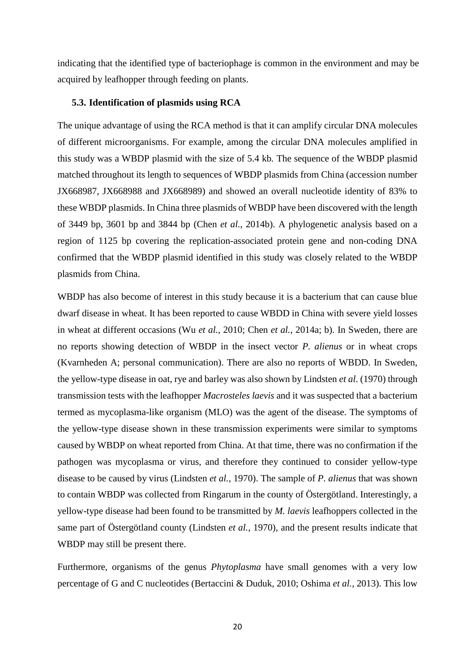indicating that the identified type of bacteriophage is common in the environment and may be acquired by leafhopper through feeding on plants.

#### <span id="page-29-0"></span>**5.3. Identification of plasmids using RCA**

The unique advantage of using the RCA method is that it can amplify circular DNA molecules of different microorganisms. For example, among the circular DNA molecules amplified in this study was a WBDP plasmid with the size of 5.4 kb*.* The sequence of the WBDP plasmid matched throughout its length to sequences of WBDP plasmids from China (accession number JX668987, JX668988 and JX668989) and showed an overall nucleotide identity of 83% to these WBDP plasmids. In China three plasmids of WBDP have been discovered with the length of 3449 bp, 3601 bp and 3844 bp (Chen *et al.*, 2014b). A phylogenetic analysis based on a region of 1125 bp covering the replication-associated protein gene and non-coding DNA confirmed that the WBDP plasmid identified in this study was closely related to the WBDP plasmids from China.

WBDP has also become of interest in this study because it is a bacterium that can cause blue dwarf disease in wheat. It has been reported to cause WBDD in China with severe yield losses in wheat at different occasions (Wu *et al.*, 2010; Chen *et al.*, 2014a; b). In Sweden, there are no reports showing detection of WBDP in the insect vector *P. alienus* or in wheat crops (Kvarnheden A; personal communication). There are also no reports of WBDD. In Sweden, the yellow-type disease in oat, rye and barley was also shown by Lindsten *et al*. (1970) through transmission tests with the leafhopper *Macrosteles laevis* and it was suspected that a bacterium termed as mycoplasma-like organism (MLO) was the agent of the disease. The symptoms of the yellow-type disease shown in these transmission experiments were similar to symptoms caused by WBDP on wheat reported from China. At that time, there was no confirmation if the pathogen was mycoplasma or virus, and therefore they continued to consider yellow-type disease to be caused by virus (Lindsten *et al.*, 1970). The sample of *P. alienus* that was shown to contain WBDP was collected from Ringarum in the county of Östergötland. Interestingly, a yellow-type disease had been found to be transmitted by *M. laevis* leafhoppers collected in the same part of Östergötland county (Lindsten *et al.*, 1970), and the present results indicate that WBDP may still be present there.

Furthermore, organisms of the genus *Phytoplasma* have small genomes with a very low percentage of G and C nucleotides (Bertaccini & Duduk, 2010; Oshima *et al.*, 2013). This low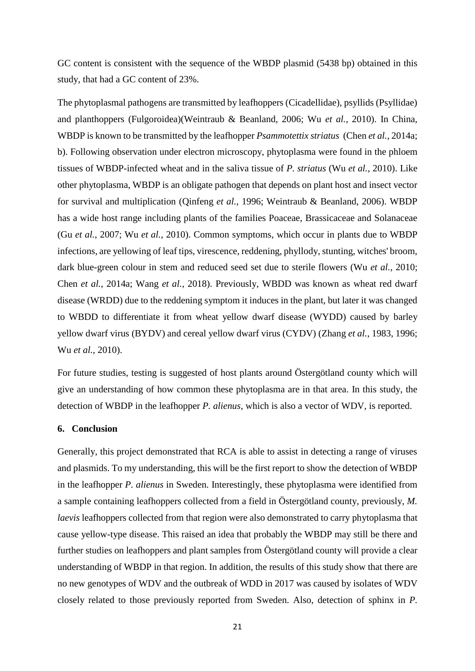GC content is consistent with the sequence of the WBDP plasmid (5438 bp) obtained in this study, that had a GC content of 23%.

The phytoplasmal pathogens are transmitted by leafhoppers (Cicadellidae), psyllids (Psyllidae) and planthoppers (Fulgoroidea)(Weintraub & Beanland, 2006; Wu *et al.*, 2010). In China, WBDP is known to be transmitted by the leafhopper *Psammotettix striatus* (Chen *et al.*, 2014a; b). Following observation under electron microscopy, phytoplasma were found in the phloem tissues of WBDP-infected wheat and in the saliva tissue of *P. striatus* (Wu *et al.*, 2010). Like other phytoplasma, WBDP is an obligate pathogen that depends on plant host and insect vector for survival and multiplication (Qinfeng *et al.*, 1996; Weintraub & Beanland, 2006). WBDP has a wide host range including plants of the families Poaceae, Brassicaceae and Solanaceae (Gu *et al.*, 2007; Wu *et al.*, 2010). Common symptoms, which occur in plants due to WBDP infections, are yellowing of leaf tips, virescence, reddening, phyllody, stunting, witches' broom, dark blue-green colour in stem and reduced seed set due to sterile flowers (Wu *et al.*, 2010; Chen *et al.*, 2014a; Wang *et al.*, 2018). Previously, WBDD was known as wheat red dwarf disease (WRDD) due to the reddening symptom it induces in the plant, but later it was changed to WBDD to differentiate it from wheat yellow dwarf disease (WYDD) caused by barley yellow dwarf virus (BYDV) and cereal yellow dwarf virus (CYDV) (Zhang *et al.*, 1983, 1996; Wu *et al.*, 2010).

For future studies, testing is suggested of host plants around Östergötland county which will give an understanding of how common these phytoplasma are in that area. In this study, the detection of WBDP in the leafhopper *P. alienus*, which is also a vector of WDV, is reported.

#### <span id="page-30-0"></span>**6. Conclusion**

Generally, this project demonstrated that RCA is able to assist in detecting a range of viruses and plasmids. To my understanding, this will be the first report to show the detection of WBDP in the leafhopper *P. alienus* in Sweden. Interestingly, these phytoplasma were identified from a sample containing leafhoppers collected from a field in Östergötland county, previously, *M. laevis* leafhoppers collected from that region were also demonstrated to carry phytoplasma that cause yellow-type disease. This raised an idea that probably the WBDP may still be there and further studies on leafhoppers and plant samples from Östergötland county will provide a clear understanding of WBDP in that region. In addition, the results of this study show that there are no new genotypes of WDV and the outbreak of WDD in 2017 was caused by isolates of WDV closely related to those previously reported from Sweden. Also, detection of sphinx in *P.*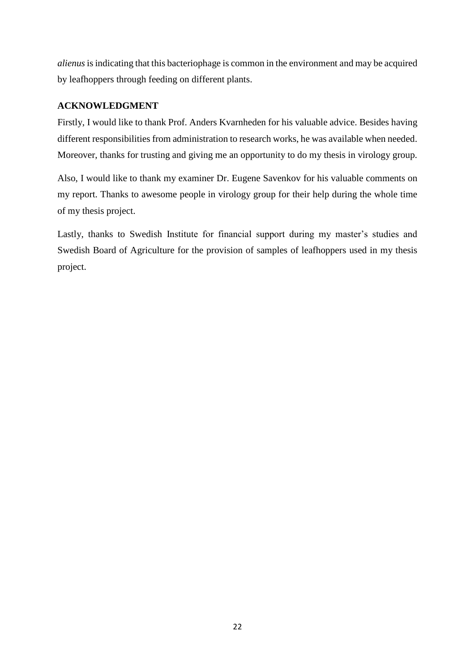*alienus*is indicating that this bacteriophage is common in the environment and may be acquired by leafhoppers through feeding on different plants.

## <span id="page-31-0"></span>**ACKNOWLEDGMENT**

Firstly, I would like to thank Prof. Anders Kvarnheden for his valuable advice. Besides having different responsibilities from administration to research works, he was available when needed. Moreover, thanks for trusting and giving me an opportunity to do my thesis in virology group.

Also, I would like to thank my examiner Dr. Eugene Savenkov for his valuable comments on my report. Thanks to awesome people in virology group for their help during the whole time of my thesis project.

Lastly, thanks to Swedish Institute for financial support during my master's studies and Swedish Board of Agriculture for the provision of samples of leafhoppers used in my thesis project.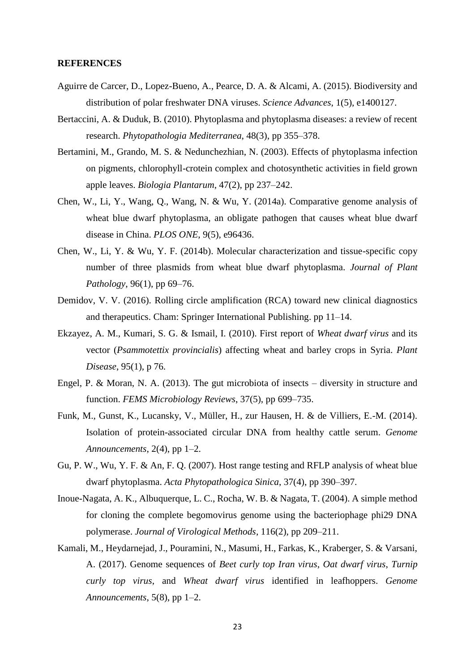#### <span id="page-32-0"></span>**REFERENCES**

- Aguirre de Carcer, D., Lopez-Bueno, A., Pearce, D. A. & Alcami, A. (2015). Biodiversity and distribution of polar freshwater DNA viruses. *Science Advances*, 1(5), e1400127.
- Bertaccini, A. & Duduk, B. (2010). Phytoplasma and phytoplasma diseases: a review of recent research. *Phytopathologia Mediterranea*, 48(3), pp 355–378.
- Bertamini, M., Grando, M. S. & Nedunchezhian, N. (2003). Effects of phytoplasma infection on pigments, chlorophyll-crotein complex and chotosynthetic activities in field grown apple leaves. *Biologia Plantarum*, 47(2), pp 237–242.
- Chen, W., Li, Y., Wang, Q., Wang, N. & Wu, Y. (2014a). Comparative genome analysis of wheat blue dwarf phytoplasma, an obligate pathogen that causes wheat blue dwarf disease in China. *PLOS ONE*, 9(5), e96436.
- Chen, W., Li, Y. & Wu, Y. F. (2014b). Molecular characterization and tissue-specific copy number of three plasmids from wheat blue dwarf phytoplasma. *Journal of Plant Pathology*, 96(1), pp 69–76.
- Demidov, V. V. (2016). Rolling circle amplification (RCA) toward new clinical diagnostics and therapeutics. Cham: Springer International Publishing. pp 11–14.
- Ekzayez, A. M., Kumari, S. G. & Ismail, I. (2010). First report of *Wheat dwarf virus* and its vector (*Psammotettix provincialis*) affecting wheat and barley crops in Syria. *Plant Disease*, 95(1), p 76.
- Engel, P. & Moran, N. A. (2013). The gut microbiota of insects diversity in structure and function. *FEMS Microbiology Reviews*, 37(5), pp 699–735.
- Funk, M., Gunst, K., Lucansky, V., Müller, H., zur Hausen, H. & de Villiers, E.-M. (2014). Isolation of protein-associated circular DNA from healthy cattle serum. *Genome Announcements*, 2(4), pp 1–2.
- Gu, P. W., Wu, Y. F. & An, F. Q. (2007). Host range testing and RFLP analysis of wheat blue dwarf phytoplasma. *Acta Phytopathologica Sinica*, 37(4), pp 390–397.
- Inoue-Nagata, A. K., Albuquerque, L. C., Rocha, W. B. & Nagata, T. (2004). A simple method for cloning the complete begomovirus genome using the bacteriophage phi29 DNA polymerase. *Journal of Virological Methods*, 116(2), pp 209–211.
- Kamali, M., Heydarnejad, J., Pouramini, N., Masumi, H., Farkas, K., Kraberger, S. & Varsani, A. (2017). Genome sequences of *Beet curly top Iran virus*, *Oat dwarf virus*, *Turnip curly top virus*, and *Wheat dwarf virus* identified in leafhoppers. *Genome Announcements*, 5(8), pp 1–2.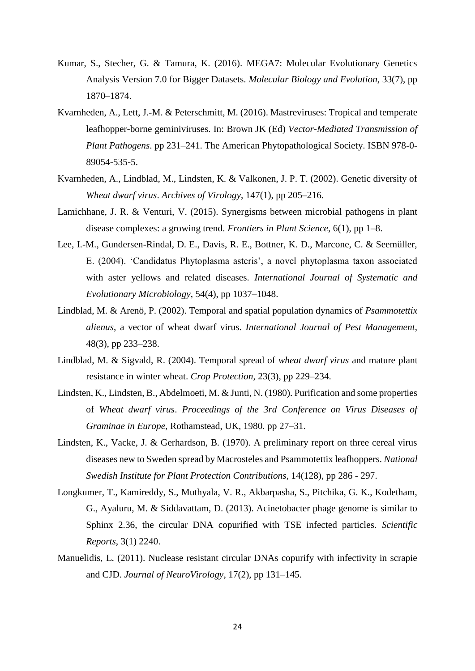- Kumar, S., Stecher, G. & Tamura, K. (2016). MEGA7: Molecular Evolutionary Genetics Analysis Version 7.0 for Bigger Datasets. *Molecular Biology and Evolution*, 33(7), pp 1870–1874.
- Kvarnheden, A., Lett, J.-M. & Peterschmitt, M. (2016). Mastreviruses: Tropical and temperate leafhopper-borne geminiviruses. In: Brown JK (Ed) *Vector-Mediated Transmission of Plant Pathogens*. pp 231–241. The American Phytopathological Society. ISBN 978-0- 89054-535-5.
- Kvarnheden, A., Lindblad, M., Lindsten, K. & Valkonen, J. P. T. (2002). Genetic diversity of *Wheat dwarf virus*. *Archives of Virology*, 147(1), pp 205–216.
- Lamichhane, J. R. & Venturi, V. (2015). Synergisms between microbial pathogens in plant disease complexes: a growing trend. *Frontiers in Plant Science*, 6(1), pp 1–8.
- Lee, I.-M., Gundersen-Rindal, D. E., Davis, R. E., Bottner, K. D., Marcone, C. & Seemüller, E. (2004). 'Candidatus Phytoplasma asteris', a novel phytoplasma taxon associated with aster yellows and related diseases. *International Journal of Systematic and Evolutionary Microbiology*, 54(4), pp 1037–1048.
- Lindblad, M. & Arenö, P. (2002). Temporal and spatial population dynamics of *Psammotettix alienus*, a vector of wheat dwarf virus. *International Journal of Pest Management*, 48(3), pp 233–238.
- Lindblad, M. & Sigvald, R. (2004). Temporal spread of *wheat dwarf virus* and mature plant resistance in winter wheat. *Crop Protection*, 23(3), pp 229–234.
- Lindsten, K., Lindsten, B., Abdelmoeti, M. & Junti, N. (1980). Purification and some properties of *Wheat dwarf virus*. *Proceedings of the 3rd Conference on Virus Diseases of Graminae in Europe*, Rothamstead, UK, 1980. pp 27–31.
- Lindsten, K., Vacke, J. & Gerhardson, B. (1970). A preliminary report on three cereal virus diseases new to Sweden spread by Macrosteles and Psammotettix leafhoppers. *National Swedish Institute for Plant Protection Contributions,* 14(128), pp 286 - 297.
- Longkumer, T., Kamireddy, S., Muthyala, V. R., Akbarpasha, S., Pitchika, G. K., Kodetham, G., Ayaluru, M. & Siddavattam, D. (2013). Acinetobacter phage genome is similar to Sphinx 2.36, the circular DNA copurified with TSE infected particles. *Scientific Reports*, 3(1) 2240.
- Manuelidis, L. (2011). Nuclease resistant circular DNAs copurify with infectivity in scrapie and CJD. *Journal of NeuroVirology*, 17(2), pp 131–145.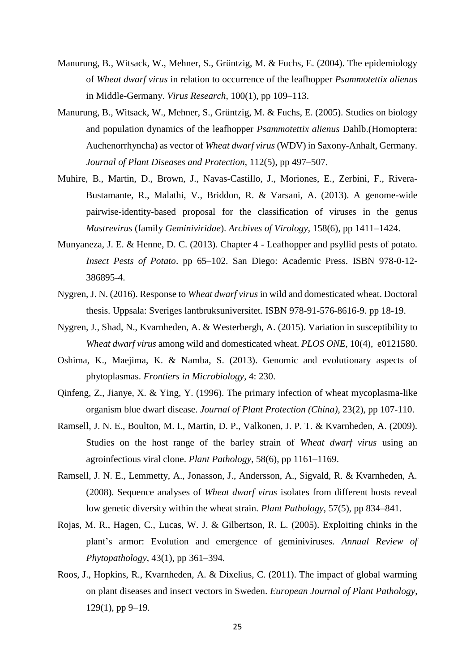- Manurung, B., Witsack, W., Mehner, S., Grüntzig, M. & Fuchs, E. (2004). The epidemiology of *Wheat dwarf virus* in relation to occurrence of the leafhopper *Psammotettix alienus* in Middle-Germany. *Virus Research*, 100(1), pp 109–113.
- Manurung, B., Witsack, W., Mehner, S., Grüntzig, M. & Fuchs, E. (2005). Studies on biology and population dynamics of the leafhopper *Psammotettix alienus* Dahlb.(Homoptera: Auchenorrhyncha) as vector of *Wheat dwarf virus* (WDV) in Saxony-Anhalt, Germany. *Journal of Plant Diseases and Protection*, 112(5), pp 497–507.
- Muhire, B., Martin, D., Brown, J., Navas-Castillo, J., Moriones, E., Zerbini, F., Rivera-Bustamante, R., Malathi, V., Briddon, R. & Varsani, A. (2013). A genome-wide pairwise-identity-based proposal for the classification of viruses in the genus *Mastrevirus* (family *Geminiviridae*). *Archives of Virology*, 158(6), pp 1411–1424.
- Munyaneza, J. E. & Henne, D. C. (2013). Chapter 4 Leafhopper and psyllid pests of potato. *Insect Pests of Potato*. pp 65–102. San Diego: Academic Press. ISBN 978-0-12- 386895-4.
- Nygren, J. N. (2016). Response to *Wheat dwarf virus* in wild and domesticated wheat. Doctoral thesis. Uppsala: Sveriges lantbruksuniversitet. ISBN 978-91-576-8616-9. pp 18-19.
- Nygren, J., Shad, N., Kvarnheden, A. & Westerbergh, A. (2015). Variation in susceptibility to *Wheat dwarf virus* among wild and domesticated wheat. *PLOS ONE*, 10(4), e0121580.
- Oshima, K., Maejima, K. & Namba, S. (2013). Genomic and evolutionary aspects of phytoplasmas. *Frontiers in Microbiology*, 4: 230.
- Qinfeng, Z., Jianye, X. & Ying, Y. (1996). The primary infection of wheat mycoplasma-like organism blue dwarf disease. *Journal of Plant Protection (China)*, 23(2), pp 107-110.
- Ramsell, J. N. E., Boulton, M. I., Martin, D. P., Valkonen, J. P. T. & Kvarnheden, A. (2009). Studies on the host range of the barley strain of *Wheat dwarf virus* using an agroinfectious viral clone. *Plant Pathology*, 58(6), pp 1161–1169.
- Ramsell, J. N. E., Lemmetty, A., Jonasson, J., Andersson, A., Sigvald, R. & Kvarnheden, A. (2008). Sequence analyses of *Wheat dwarf virus* isolates from different hosts reveal low genetic diversity within the wheat strain. *Plant Pathology*, 57(5), pp 834–841.
- Rojas, M. R., Hagen, C., Lucas, W. J. & Gilbertson, R. L. (2005). Exploiting chinks in the plant's armor: Evolution and emergence of geminiviruses. *Annual Review of Phytopathology*, 43(1), pp 361–394.
- Roos, J., Hopkins, R., Kvarnheden, A. & Dixelius, C. (2011). The impact of global warming on plant diseases and insect vectors in Sweden. *European Journal of Plant Pathology*, 129(1), pp 9–19.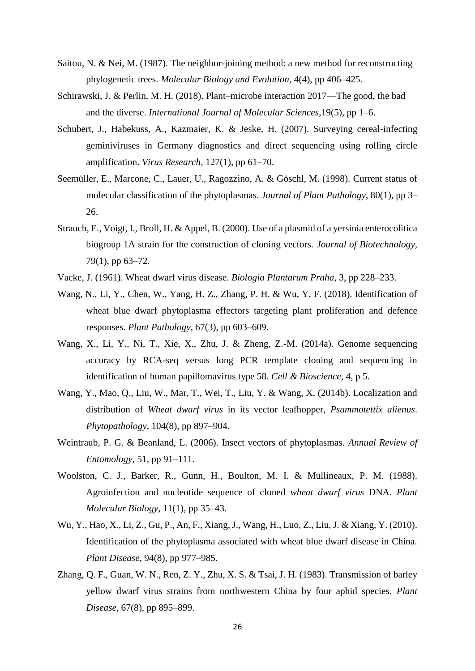- Saitou, N. & Nei, M. (1987). The neighbor-joining method: a new method for reconstructing phylogenetic trees. *Molecular Biology and Evolution*, 4(4), pp 406–425.
- Schirawski, J. & Perlin, M. H. (2018). Plant–microbe interaction 2017—The good, the bad and the diverse. *International Journal of Molecular Sciences*,19(5), pp 1–6.
- Schubert, J., Habekuss, A., Kazmaier, K. & Jeske, H. (2007). Surveying cereal-infecting geminiviruses in Germany diagnostics and direct sequencing using rolling circle amplification. *Virus Research*, 127(1), pp 61–70.
- Seemüller, E., Marcone, C., Lauer, U., Ragozzino, A. & Göschl, M. (1998). Current status of molecular classification of the phytoplasmas. *Journal of Plant Pathology*, 80(1), pp 3– 26.
- Strauch, E., Voigt, I., Broll, H. & Appel, B. (2000). Use of a plasmid of a yersinia enterocolitica biogroup 1A strain for the construction of cloning vectors. *Journal of Biotechnology*, 79(1), pp 63–72.
- Vacke, J. (1961). Wheat dwarf virus disease. *Biologia Plantarum Praha*, 3, pp 228–233.
- Wang, N., Li, Y., Chen, W., Yang, H. Z., Zhang, P. H. & Wu, Y. F. (2018). Identification of wheat blue dwarf phytoplasma effectors targeting plant proliferation and defence responses. *Plant Pathology*, 67(3), pp 603–609.
- Wang, X., Li, Y., Ni, T., Xie, X., Zhu, J. & Zheng, Z.-M. (2014a). Genome sequencing accuracy by RCA-seq versus long PCR template cloning and sequencing in identification of human papillomavirus type 58. *Cell & Bioscience*, 4, p 5.
- Wang, Y., Mao, Q., Liu, W., Mar, T., Wei, T., Liu, Y. & Wang, X. (2014b). Localization and distribution of *Wheat dwarf virus* in its vector leafhopper, *Psammotettix alienus*. *Phytopathology*, 104(8), pp 897–904.
- Weintraub, P. G. & Beanland, L. (2006). Insect vectors of phytoplasmas. *Annual Review of Entomology*, 51, pp 91–111.
- Woolston, C. J., Barker, R., Gunn, H., Boulton, M. I. & Mullineaux, P. M. (1988). Agroinfection and nucleotide sequence of cloned *wheat dwarf virus* DNA. *Plant Molecular Biology*, 11(1), pp 35–43.
- Wu, Y., Hao, X., Li, Z., Gu, P., An, F., Xiang, J., Wang, H., Luo, Z., Liu, J. & Xiang, Y. (2010). Identification of the phytoplasma associated with wheat blue dwarf disease in China. *Plant Disease*, 94(8), pp 977–985.
- Zhang, Q. F., Guan, W. N., Ren, Z. Y., Zhu, X. S. & Tsai, J. H. (1983). Transmission of barley yellow dwarf virus strains from northwestern China by four aphid species. *Plant Disease*, 67(8), pp 895–899.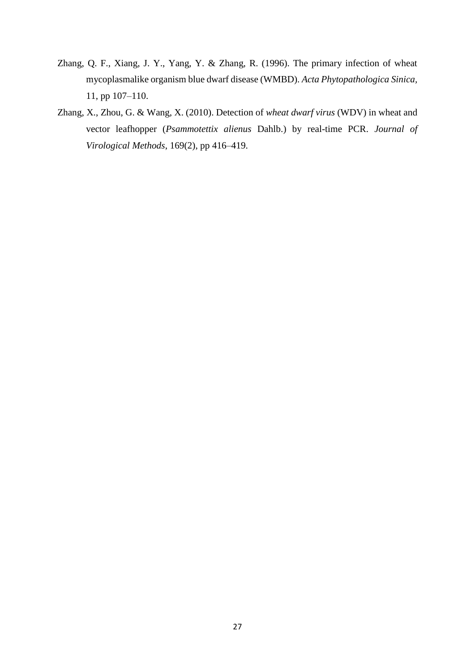- Zhang, Q. F., Xiang, J. Y., Yang, Y. & Zhang, R. (1996). The primary infection of wheat mycoplasmalike organism blue dwarf disease (WMBD). *Acta Phytopathologica Sinica,*  11, pp 107–110.
- Zhang, X., Zhou, G. & Wang, X. (2010). Detection of *wheat dwarf virus* (WDV) in wheat and vector leafhopper (*Psammotettix alienus* Dahlb.) by real-time PCR. *Journal of Virological Methods*, 169(2), pp 416–419.